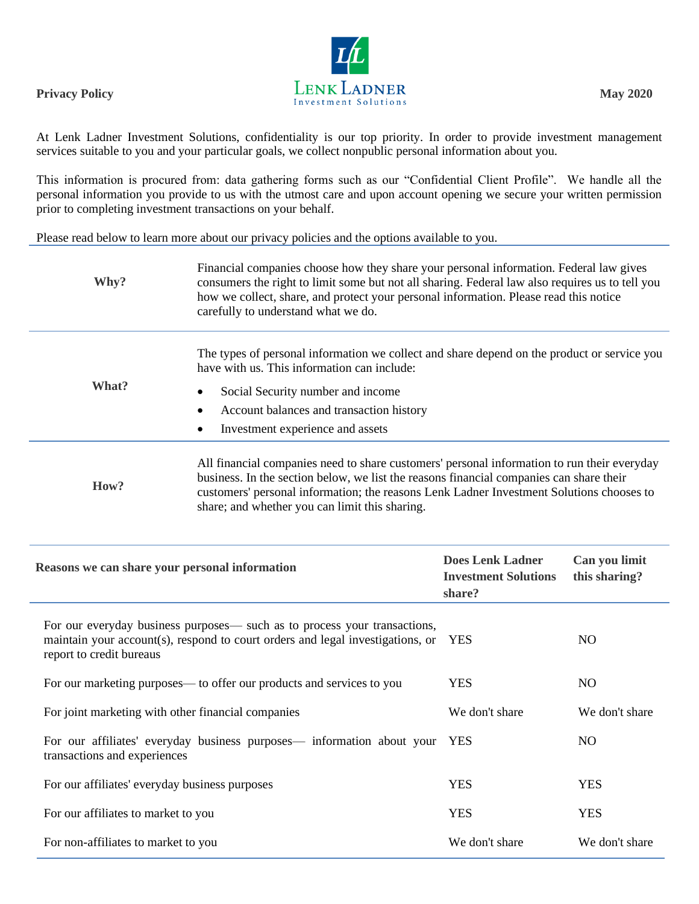

At Lenk Ladner Investment Solutions, confidentiality is our top priority. In order to provide investment management services suitable to you and your particular goals, we collect nonpublic personal information about you.

This information is procured from: data gathering forms such as our "Confidential Client Profile". We handle all the personal information you provide to us with the utmost care and upon account opening we secure your written permission prior to completing investment transactions on your behalf.

Please read below to learn more about our privacy policies and the options available to you.

| Why?  | Financial companies choose how they share your personal information. Federal law gives<br>consumers the right to limit some but not all sharing. Federal law also requires us to tell you<br>how we collect, share, and protect your personal information. Please read this notice<br>carefully to understand what we do.            |
|-------|--------------------------------------------------------------------------------------------------------------------------------------------------------------------------------------------------------------------------------------------------------------------------------------------------------------------------------------|
| What? | The types of personal information we collect and share depend on the product or service you<br>have with us. This information can include:<br>Social Security number and income<br>Account balances and transaction history<br>Investment experience and assets                                                                      |
| How?  | All financial companies need to share customers' personal information to run their everyday<br>business. In the section below, we list the reasons financial companies can share their<br>customers' personal information; the reasons Lenk Ladner Investment Solutions chooses to<br>share; and whether you can limit this sharing. |

| Reasons we can share your personal information                                                                                                                                          | <b>Does Lenk Ladner</b><br><b>Investment Solutions</b><br>share? | Can you limit<br>this sharing? |
|-----------------------------------------------------------------------------------------------------------------------------------------------------------------------------------------|------------------------------------------------------------------|--------------------------------|
| For our everyday business purposes— such as to process your transactions,<br>maintain your account(s), respond to court orders and legal investigations, or<br>report to credit bureaus | <b>YES</b>                                                       | NO.                            |
| For our marketing purposes— to offer our products and services to you                                                                                                                   | <b>YES</b>                                                       | NO.                            |
| For joint marketing with other financial companies                                                                                                                                      | We don't share                                                   | We don't share                 |
| For our affiliates' everyday business purposes— information about your<br>transactions and experiences                                                                                  | <b>YES</b>                                                       | NO.                            |
| For our affiliates' everyday business purposes                                                                                                                                          | <b>YES</b>                                                       | <b>YES</b>                     |
| For our affiliates to market to you                                                                                                                                                     | <b>YES</b>                                                       | <b>YES</b>                     |
| For non-affiliates to market to you                                                                                                                                                     | We don't share                                                   | We don't share                 |